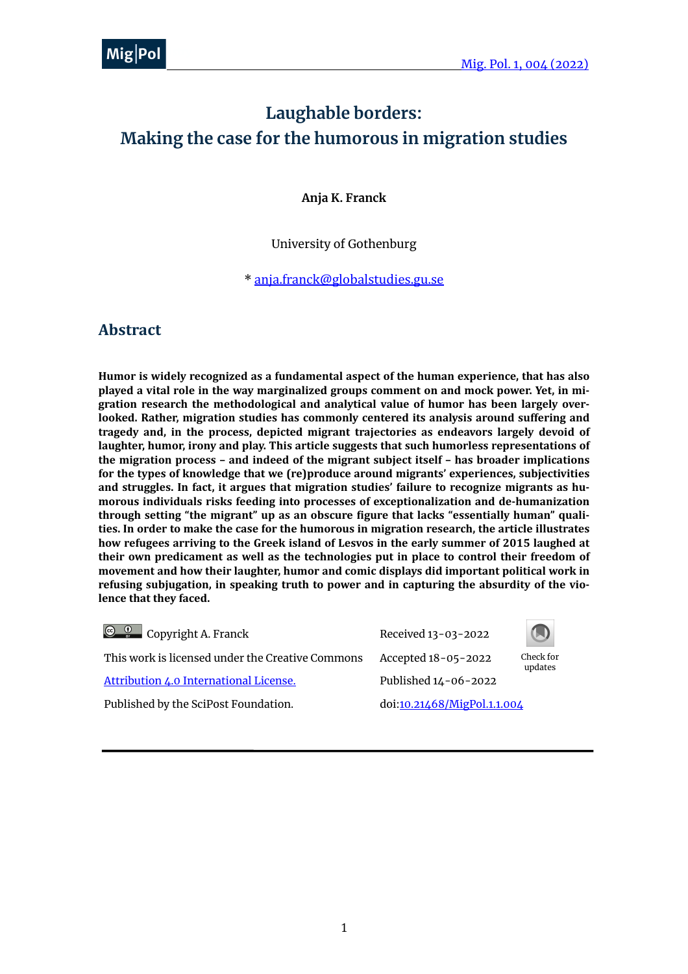# **Laughable borders: Making the case for the humorous in migration studies**

**Anja K. Franck**

#### University of Gothenburg

\* [anja.franck@globalstudies.gu.se](mailto:anja.franck@globalstudies.gu.se)

#### **Abstract**

Humor is widely recognized as a fundamental aspect of the human experience, that has also played a vital role in the way marginalized groups comment on and mock power. Yet, in migration research the methodological and analytical value of humor has been largely overlooked. Rather, migration studies has commonly centered its analysis around suffering and tragedy and, in the process, depicted migrant trajectories as endeavors largely devoid of laughter, humor, irony and play. This article suggests that such humorless representations of **the migration process – and indeed of the migrant subject itself – has broader implications** for the types of knowledge that we (re)produce around migrants' experiences, subjectivities and struggles. In fact, it argues that migration studies' failure to recognize migrants as humorous individuals risks feeding into processes of exceptionalization and de-humanization **through setting "the migrant" up as an obscure figure that lacks "essentially human" quali**ties. In order to make the case for the humorous in migration research, the article illustrates how refugees arriving to the Greek island of Lesvos in the early summer of 2015 laughed at their own predicament as well as the technologies put in place to control their freedom of movement and how their laughter, humor and comic displays did important political work in refusing subjugation, in speaking truth to power and in capturing the absurdity of the violence that they faced.

| $\bigcirc$ $\bigcirc$ Copyright A. Franck        | Received 13-03-2022         |                      |
|--------------------------------------------------|-----------------------------|----------------------|
| This work is licensed under the Creative Commons | Accepted 18-05-2022         | Check for<br>updates |
| Attribution 4.0 International License.           | Published 14-06-2022        |                      |
| Published by the SciPost Foundation.             | doi:10.21468/MigPol.1.1.004 |                      |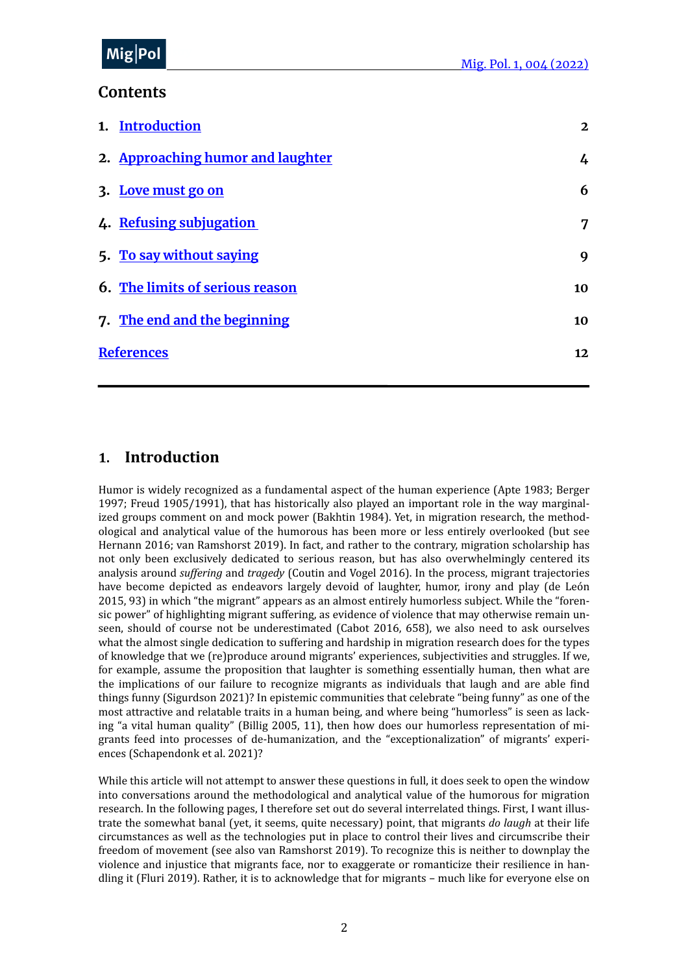#### MiolDr me<sub>l</sub>' <sup>or</sup>  $Mig|Pol$

## **Contents**

| 1. Introduction                        | $\mathbf{2}$ |
|----------------------------------------|--------------|
| 2. Approaching humor and laughter      | 4            |
| 3. Love must go on                     | 6            |
| 4. Refusing subjugation                | 7            |
| 5. To say without saying               | 9            |
| <b>6. The limits of serious reason</b> | 10           |
| 7. The end and the beginning           | 10           |
| <b>References</b>                      | 12           |

## <span id="page-1-0"></span>**1. Introduction**

Humor is widely recognized as a fundamental aspect of the human experience (Apte 1983; Berger 1997; Freud 1905/1991), that has historically also played an important role in the way marginalized groups comment on and mock power (Bakhtin 1984). Yet, in migration research, the methodological and analytical value of the humorous has been more or less entirely overlooked (but see Hernann 2016; van Ramshorst 2019). In fact, and rather to the contrary, migration scholarship has not only been exclusively dedicated to serious reason, but has also overwhelmingly centered its analysis around *suffering* and *tragedy* (Coutin and Vogel 2016). In the process, migrant trajectories have become depicted as endeavors largely devoid of laughter, humor, irony and play (de León 2015, 93) in which "the migrant" appears as an almost entirely humorless subject. While the "forensic power" of highlighting migrant suffering, as evidence of violence that may otherwise remain unseen, should of course not be underestimated (Cabot 2016, 658), we also need to ask ourselves what the almost single dedication to suffering and hardship in migration research does for the types of knowledge that we (re)produce around migrants' experiences, subjectivities and struggles. If we, for example, assume the proposition that laughter is something essentially human, then what are the implications of our failure to recognize migrants as individuals that laugh and are able find things funny (Sigurdson 2021)? In epistemic communities that celebrate "being funny" as one of the most attractive and relatable traits in a human being, and where being "humorless" is seen as lacking "a vital human quality" (Billig 2005, 11), then how does our humorless representation of migrants feed into processes of de-humanization, and the "exceptionalization" of migrants' experiences (Schapendonk et al. 2021)?

While this article will not attempt to answer these questions in full, it does seek to open the window into conversations around the methodological and analytical value of the humorous for migration research. In the following pages, I therefore set out do several interrelated things. First, I want illustrate the somewhat banal (yet, it seems, quite necessary) point, that migrants *do laugh* at their life circumstances as well as the technologies put in place to control their lives and circumscribe their freedom of movement (see also van Ramshorst 2019). To recognize this is neither to downplay the violence and injustice that migrants face, nor to exaggerate or romanticize their resilience in handling it (Fluri 2019). Rather, it is to acknowledge that for migrants – much like for everyone else on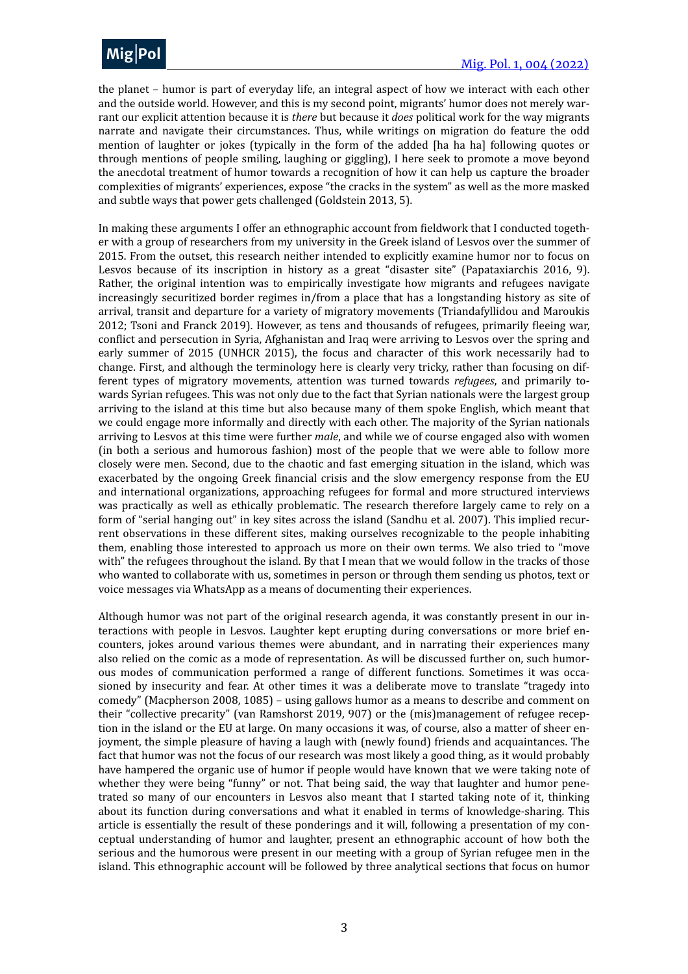

the planet – humor is part of everyday life, an integral aspect of how we interact with each other and the outside world. However, and this is my second point, migrants' humor does not merely warrant our explicit attention because it is *there* but because it *does* political work for the way migrants narrate and navigate their circumstances. Thus, while writings on migration do feature the odd mention of laughter or jokes (typically in the form of the added [ha ha ha] following quotes or through mentions of people smiling, laughing or giggling), I here seek to promote a move beyond the anecdotal treatment of humor towards a recognition of how it can help us capture the broader complexities of migrants' experiences, expose "the cracks in the system" as well as the more masked and subtle ways that power gets challenged (Goldstein 2013, 5).

In making these arguments I offer an ethnographic account from fieldwork that I conducted together with a group of researchers from my university in the Greek island of Lesvos over the summer of 2015. From the outset, this research neither intended to explicitly examine humor nor to focus on Lesvos because of its inscription in history as a great "disaster site" (Papataxiarchis 2016, 9). Rather, the original intention was to empirically investigate how migrants and refugees navigate increasingly securitized border regimes in/from a place that has a longstanding history as site of arrival, transit and departure for a variety of migratory movements (Triandafyllidou and Maroukis 2012; Tsoni and Franck 2019). However, as tens and thousands of refugees, primarily fleeing war, conflict and persecution in Syria, Afghanistan and Iraq were arriving to Lesvos over the spring and early summer of 2015 (UNHCR 2015), the focus and character of this work necessarily had to change. First, and although the terminology here is clearly very tricky, rather than focusing on different types of migratory movements, attention was turned towards *refugees*, and primarily towards Syrian refugees. This was not only due to the fact that Syrian nationals were the largest group arriving to the island at this time but also because many of them spoke English, which meant that we could engage more informally and directly with each other. The majority of the Syrian nationals arriving to Lesvos at this time were further *male*, and while we of course engaged also with women (in both a serious and humorous fashion) most of the people that we were able to follow more closely were men. Second, due to the chaotic and fast emerging situation in the island, which was exacerbated by the ongoing Greek financial crisis and the slow emergency response from the EU and international organizations, approaching refugees for formal and more structured interviews was practically as well as ethically problematic. The research therefore largely came to rely on a form of "serial hanging out" in key sites across the island (Sandhu et al. 2007). This implied recurrent observations in these different sites, making ourselves recognizable to the people inhabiting them, enabling those interested to approach us more on their own terms. We also tried to "move with" the refugees throughout the island. By that I mean that we would follow in the tracks of those who wanted to collaborate with us, sometimes in person or through them sending us photos, text or voice messages via WhatsApp as a means of documenting their experiences.

Although humor was not part of the original research agenda, it was constantly present in our interactions with people in Lesvos. Laughter kept erupting during conversations or more brief encounters, jokes around various themes were abundant, and in narrating their experiences many also relied on the comic as a mode of representation. As will be discussed further on, such humorous modes of communication performed a range of different functions. Sometimes it was occasioned by insecurity and fear. At other times it was a deliberate move to translate "tragedy into comedy" (Macpherson 2008, 1085) – using gallows humor as a means to describe and comment on their "collective precarity" (van Ramshorst 2019, 907) or the (mis)management of refugee reception in the island or the EU at large. On many occasions it was, of course, also a matter of sheer enjoyment, the simple pleasure of having a laugh with (newly found) friends and acquaintances. The fact that humor was not the focus of our research was most likely a good thing, as it would probably have hampered the organic use of humor if people would have known that we were taking note of whether they were being "funny" or not. That being said, the way that laughter and humor penetrated so many of our encounters in Lesvos also meant that I started taking note of it, thinking about its function during conversations and what it enabled in terms of knowledge-sharing. This article is essentially the result of these ponderings and it will, following a presentation of my conceptual understanding of humor and laughter, present an ethnographic account of how both the serious and the humorous were present in our meeting with a group of Syrian refugee men in the island. This ethnographic account will be followed by three analytical sections that focus on humor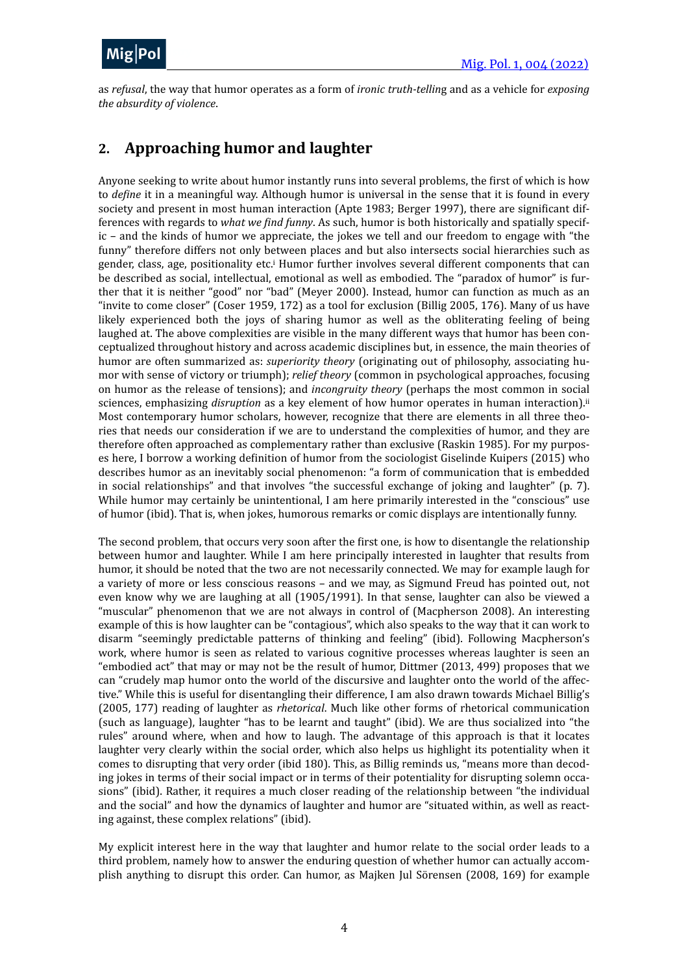

as *refusal*, the way that humor operates as a form of *ironic truth-telling* and as a vehicle for *exposing the absurdity of violence*.

# <span id="page-3-0"></span>**2. Approaching humor and laughter**

<span id="page-3-1"></span>Anyone seeking to write about humor instantly runs into several problems, the first of which is how to *define* it in a meaningful way. Although humor is universal in the sense that it is found in every society and present in most human interaction (Apte 1983; Berger 1997), there are significant differences with regards to *what we find funny*. As such, humor is both historically and spatially specif $ic$  – and the kinds of humor we appreciate, the jokes we tell and our freedom to engage with "the funny" therefore differs not only between places and but also intersects social hierarchies such as gender, class, age, pos[i](#page-14-0)tionality etc.<sup>i</sup> Humor further involves several different components that can be described as social, intellectual, emotional as well as embodied. The "paradox of humor" is further that it is neither "good" nor "bad" (Meyer 2000). Instead, humor can function as much as an "invite to come closer" (Coser 1959, 172) as a tool for exclusion (Billig 2005, 176). Many of us have likely experienced both the joys of sharing humor as well as the obliterating feeling of being laughed at. The above complexities are visible in the many different ways that humor has been conceptualized throughout history and across academic disciplines but, in essence, the main theories of humor are often summarized as: *superiority theory* (originating out of philosophy, associating humor with sense of victory or triumph); *relief theory* (common in psychological approaches, focusing on humor as the release of tensions); and *incongruity theory* (perhaps the most common in social sciences, emphasizing *disruption* as a key element of how humor operates in human interaction).<sup>ii</sup> Most contemporary humor scholars, however, recognize that there are elements in all three theories that needs our consideration if we are to understand the complexities of humor, and they are therefore often approached as complementary rather than exclusive (Raskin 1985). For my purposes here, I borrow a working definition of humor from the sociologist Giselinde Kuipers (2015) who describes humor as an inevitably social phenomenon: "a form of communication that is embedded in social relationships" and that involves "the successful exchange of joking and laughter" (p. 7). While humor may certainly be unintentional, I am here primarily interested in the "conscious" use of humor (ibid). That is, when jokes, humorous remarks or comic displays are intentionally funny.

<span id="page-3-2"></span>The second problem, that occurs very soon after the first one, is how to disentangle the relationship between humor and laughter. While I am here principally interested in laughter that results from humor, it should be noted that the two are not necessarily connected. We may for example laugh for a variety of more or less conscious reasons – and we may, as Sigmund Freud has pointed out, not even know why we are laughing at all (1905/1991). In that sense, laughter can also be viewed a "muscular" phenomenon that we are not always in control of (Macpherson 2008). An interesting example of this is how laughter can be "contagious", which also speaks to the way that it can work to disarm "seemingly predictable patterns of thinking and feeling" (ibid). Following Macpherson's work, where humor is seen as related to various cognitive processes whereas laughter is seen an "embodied act" that may or may not be the result of humor, Dittmer  $(2013, 499)$  proposes that we can "crudely map humor onto the world of the discursive and laughter onto the world of the affective." While this is useful for disentangling their difference, I am also drawn towards Michael Billig's (2005, 177) reading of laughter as *rhetorical*. Much like other forms of rhetorical communication (such as language), laughter "has to be learnt and taught" (ibid). We are thus socialized into "the rules" around where, when and how to laugh. The advantage of this approach is that it locates laughter very clearly within the social order, which also helps us highlight its potentiality when it comes to disrupting that very order (ibid 180). This, as Billig reminds us, "means more than decoding jokes in terms of their social impact or in terms of their potentiality for disrupting solemn occasions" (ibid). Rather, it requires a much closer reading of the relationship between "the individual and the social" and how the dynamics of laughter and humor are "situated within, as well as reacting against, these complex relations" (ibid).

My explicit interest here in the way that laughter and humor relate to the social order leads to a third problem, namely how to answer the enduring question of whether humor can actually accomplish anything to disrupt this order. Can humor, as Majken Jul Sörensen (2008, 169) for example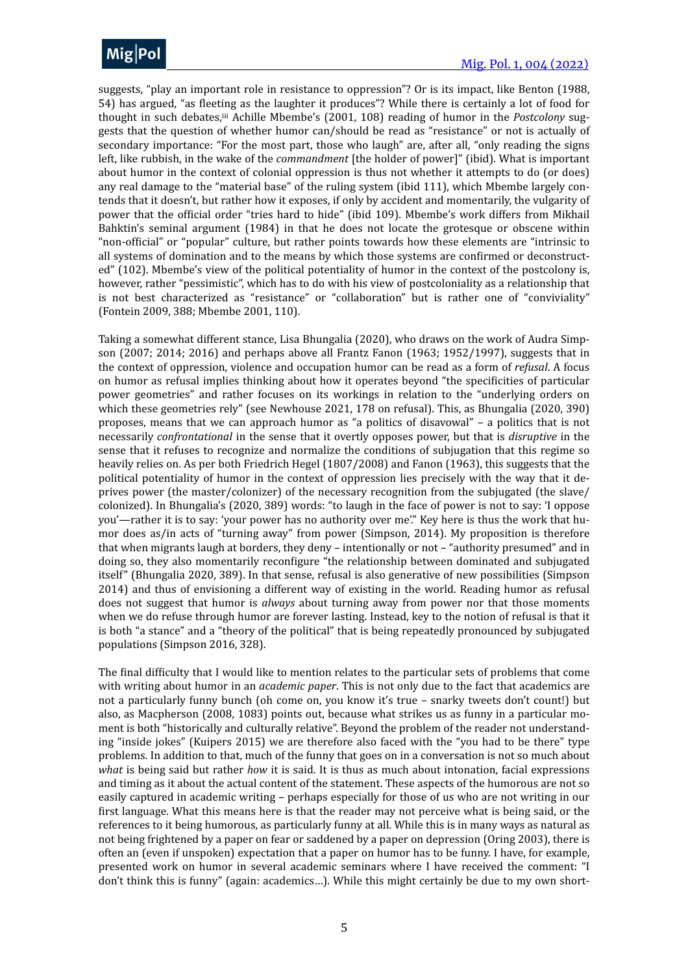

<span id="page-4-0"></span>suggests, "play an important role in resistance to oppression"? Or is its impact, like Benton (1988, 54) has argued, "as fleeting as the laughter it produces"? While there is certainly a lot of food for thought in such debates,iii Achille Mbembe's (2001, 108) reading of humor in the *Postcolony* suggests that the question of whether humor can/should be read as "resistance" or not is actually of secondary importance: "For the most part, those who laugh" are, after all, "only reading the signs left, like rubbish, in the wake of the *commandment* [the holder of power]" (ibid). What is important about humor in the context of colonial oppression is thus not whether it attempts to do (or does) any real damage to the "material base" of the ruling system (ibid 111), which Mbembe largely contends that it doesn't, but rather how it exposes, if only by accident and momentarily, the vulgarity of power that the official order "tries hard to hide" (ibid 109). Mbembe's work differs from Mikhail Bahktin's seminal argument (1984) in that he does not locate the grotesque or obscene within "non-official" or "popular" culture, but rather points towards how these elements are "intrinsic to all systems of domination and to the means by which those systems are confirmed or deconstructed" (102). Mbembe's view of the political potentiality of humor in the context of the postcolony is, however, rather "pessimistic", which has to do with his view of postcoloniality as a relationship that is not best characterized as "resistance" or "collaboration" but is rather one of "conviviality" (Fontein 2009, 388; Mbembe 2001, 110).

Taking a somewhat different stance, Lisa Bhungalia (2020), who draws on the work of Audra Simpson  $(2007; 2014; 2016)$  and perhaps above all Frantz Fanon  $(1963; 1952/1997)$ , suggests that in the context of oppression, violence and occupation humor can be read as a form of *refusal*. A focus on humor as refusal implies thinking about how it operates beyond "the specificities of particular power geometries" and rather focuses on its workings in relation to the "underlying orders on which these geometries rely" (see Newhouse 2021, 178 on refusal). This, as Bhungalia (2020, 390) proposes, means that we can approach humor as "a politics of disavowal" - a politics that is not necessarily *confrontational* in the sense that it overtly opposes power, but that is *disruptive* in the sense that it refuses to recognize and normalize the conditions of subjugation that this regime so heavily relies on. As per both Friedrich Hegel (1807/2008) and Fanon (1963), this suggests that the political potentiality of humor in the context of oppression lies precisely with the way that it deprives power (the master/colonizer) of the necessary recognition from the subjugated (the slave/ colonized). In Bhungalia's (2020, 389) words: "to laugh in the face of power is not to say: 'I oppose you'—rather it is to say: 'your power has no authority over me'." Key here is thus the work that humor does as/in acts of "turning away" from power (Simpson, 2014). My proposition is therefore that when migrants laugh at borders, they deny – intentionally or not – "authority presumed" and in doing so, they also momentarily reconfigure "the relationship between dominated and subjugated itself" (Bhungalia 2020, 389). In that sense, refusal is also generative of new possibilities (Simpson 2014) and thus of envisioning a different way of existing in the world. Reading humor as refusal does not suggest that humor is *always* about turning away from power nor that those moments when we do refuse through humor are forever lasting. Instead, key to the notion of refusal is that it is both "a stance" and a "theory of the political" that is being repeatedly pronounced by subjugated populations (Simpson 2016, 328). 

The final difficulty that I would like to mention relates to the particular sets of problems that come with writing about humor in an *academic paper*. This is not only due to the fact that academics are not a particularly funny bunch (oh come on, you know it's true - snarky tweets don't count!) but also, as Macpherson (2008, 1083) points out, because what strikes us as funny in a particular moment is both "historically and culturally relative". Beyond the problem of the reader not understanding "inside jokes" (Kuipers 2015) we are therefore also faced with the "you had to be there" type problems. In addition to that, much of the funny that goes on in a conversation is not so much about *what* is being said but rather *how* it is said. It is thus as much about intonation, facial expressions and timing as it about the actual content of the statement. These aspects of the humorous are not so easily captured in academic writing - perhaps especially for those of us who are not writing in our first language. What this means here is that the reader may not perceive what is being said, or the references to it being humorous, as particularly funny at all. While this is in many ways as natural as not being frightened by a paper on fear or saddened by a paper on depression (Oring 2003), there is often an (even if unspoken) expectation that a paper on humor has to be funny. I have, for example, presented work on humor in several academic seminars where I have received the comment: "I don't think this is funny" (again: academics...). While this might certainly be due to my own short-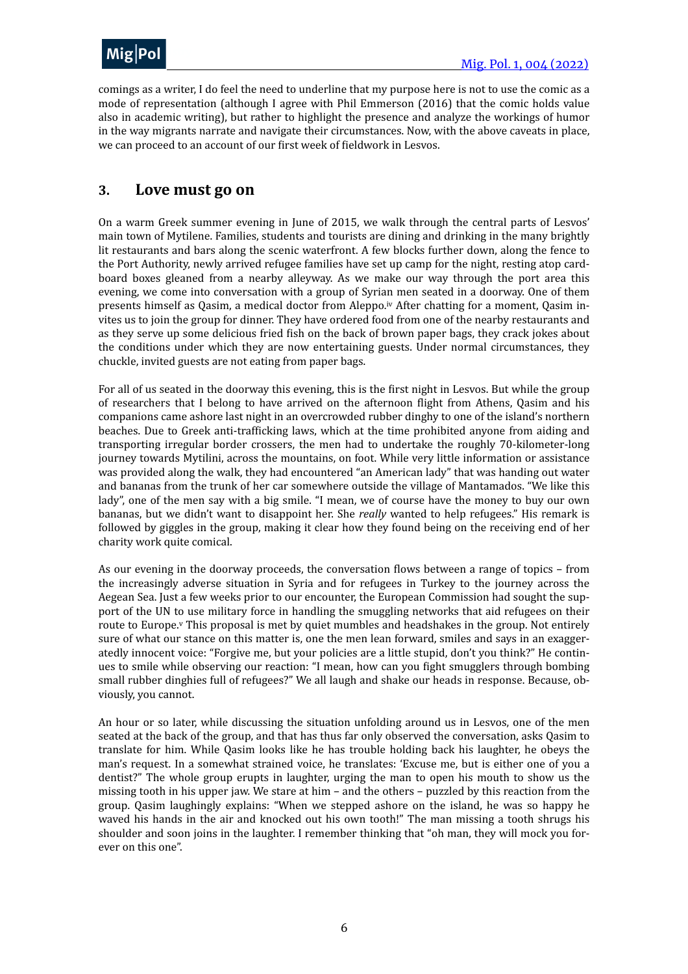

comings as a writer, I do feel the need to underline that my purpose here is not to use the comic as a mode of representation (although I agree with Phil Emmerson (2016) that the comic holds value also in academic writing), but rather to highlight the presence and analyze the workings of humor in the way migrants narrate and navigate their circumstances. Now, with the above caveats in place, we can proceed to an account of our first week of fieldwork in Lesvos.

#### <span id="page-5-0"></span>**3.** Love must go on

<span id="page-5-1"></span>On a warm Greek summer evening in June of 2015, we walk through the central parts of Lesvos' main town of Mytilene. Families, students and tourists are dining and drinking in the many brightly lit restaurants and bars along the scenic waterfront. A few blocks further down, along the fence to the Port Authority, newly arrived refugee families have set up camp for the night, resting atop cardboard boxes gleaned from a nearby alleyway. As we make our way through the port area this evening, we come into conversation with a group of Syrian men seated in a doorway. One of them presents himself as Qasim, a medical doctor from Aleppo[.iv](#page-15-1) After chatting for a moment, Qasim invites us to join the group for dinner. They have ordered food from one of the nearby restaurants and as they serve up some delicious fried fish on the back of brown paper bags, they crack jokes about the conditions under which they are now entertaining guests. Under normal circumstances, they chuckle, invited guests are not eating from paper bags.

For all of us seated in the doorway this evening, this is the first night in Lesvos. But while the group of researchers that I belong to have arrived on the afternoon flight from Athens, Qasim and his companions came ashore last night in an overcrowded rubber dinghy to one of the island's northern beaches. Due to Greek anti-trafficking laws, which at the time prohibited anyone from aiding and transporting irregular border crossers, the men had to undertake the roughly 70-kilometer-long journey towards Mytilini, across the mountains, on foot. While very little information or assistance was provided along the walk, they had encountered "an American lady" that was handing out water and bananas from the trunk of her car somewhere outside the village of Mantamados. "We like this lady", one of the men say with a big smile. "I mean, we of course have the money to buy our own bananas, but we didn't want to disappoint her. She *really* wanted to help refugees." His remark is followed by giggles in the group, making it clear how they found being on the receiving end of her charity work quite comical.

<span id="page-5-2"></span>As our evening in the doorway proceeds, the conversation flows between a range of topics – from the increasingly adverse situation in Syria and for refugees in Turkey to the journey across the Aegean Sea. Just a few weeks prior to our encounter, the European Commission had sought the support of the UN to use military force in handling the smuggling networks that aid refugees on their route to Europe.<sup>y</sup> This proposal is met by quiet mumbles and headshakes in the group. Not entirely sure of what our stance on this matter is, one the men lean forward, smiles and says in an exaggeratedly innocent voice: "Forgive me, but your policies are a little stupid, don't you think?" He continues to smile while observing our reaction: "I mean, how can you fight smugglers through bombing small rubber dinghies full of refugees?" We all laugh and shake our heads in response. Because, obviously, you cannot.

An hour or so later, while discussing the situation unfolding around us in Lesvos, one of the men seated at the back of the group, and that has thus far only observed the conversation, asks Qasim to translate for him. While Qasim looks like he has trouble holding back his laughter, he obeys the man's request. In a somewhat strained voice, he translates: 'Excuse me, but is either one of you a dentist?" The whole group erupts in laughter, urging the man to open his mouth to show us the missing tooth in his upper jaw. We stare at him – and the others – puzzled by this reaction from the group. Qasim laughingly explains: "When we stepped ashore on the island, he was so happy he waved his hands in the air and knocked out his own tooth!" The man missing a tooth shrugs his shoulder and soon joins in the laughter. I remember thinking that "oh man, they will mock you forever on this one".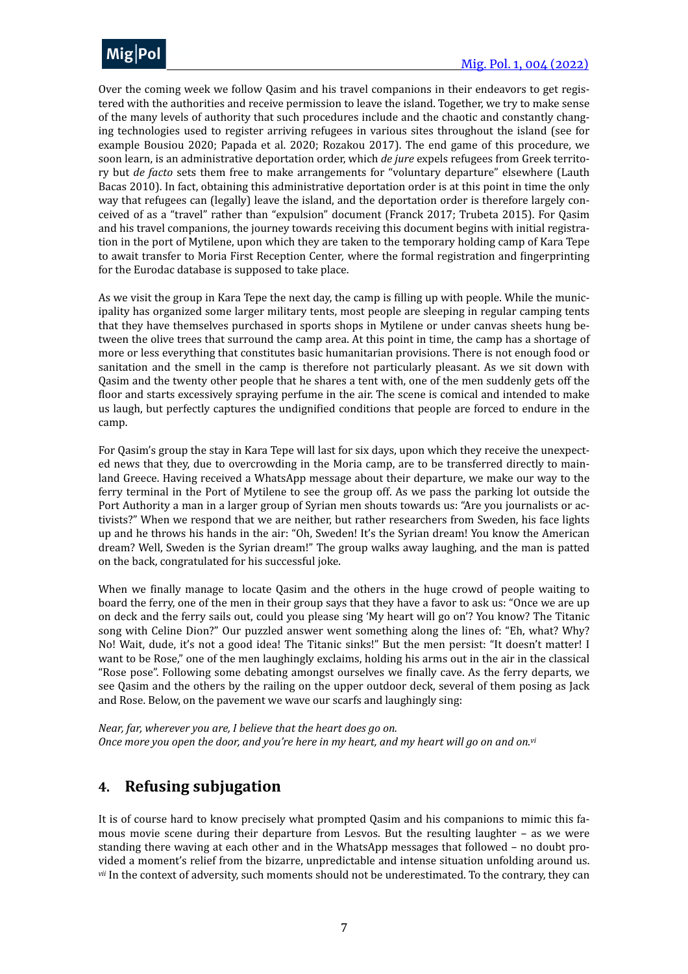

Over the coming week we follow Qasim and his travel companions in their endeavors to get registered with the authorities and receive permission to leave the island. Together, we try to make sense of the many levels of authority that such procedures include and the chaotic and constantly changing technologies used to register arriving refugees in various sites throughout the island (see for example Bousiou 2020; Papada et al. 2020; Rozakou 2017). The end game of this procedure, we soon learn, is an administrative deportation order, which *de jure* expels refugees from Greek territory but *de facto* sets them free to make arrangements for "voluntary departure" elsewhere (Lauth Bacas 2010). In fact, obtaining this administrative deportation order is at this point in time the only way that refugees can (legally) leave the island, and the deportation order is therefore largely conceived of as a "travel" rather than "expulsion" document (Franck 2017; Trubeta 2015). For Qasim and his travel companions, the journey towards receiving this document begins with initial registration in the port of Mytilene, upon which they are taken to the temporary holding camp of Kara Tepe to await transfer to Moria First Reception Center, where the formal registration and fingerprinting for the Eurodac database is supposed to take place.

As we visit the group in Kara Tepe the next day, the camp is filling up with people. While the municipality has organized some larger military tents, most people are sleeping in regular camping tents that they have themselves purchased in sports shops in Mytilene or under canvas sheets hung between the olive trees that surround the camp area. At this point in time, the camp has a shortage of more or less everything that constitutes basic humanitarian provisions. There is not enough food or sanitation and the smell in the camp is therefore not particularly pleasant. As we sit down with Qasim and the twenty other people that he shares a tent with, one of the men suddenly gets off the floor and starts excessively spraying perfume in the air. The scene is comical and intended to make us laugh, but perfectly captures the undignified conditions that people are forced to endure in the camp. 

For Qasim's group the stay in Kara Tepe will last for six days, upon which they receive the unexpected news that they, due to overcrowding in the Moria camp, are to be transferred directly to mainland Greece. Having received a WhatsApp message about their departure, we make our way to the ferry terminal in the Port of Mytilene to see the group off. As we pass the parking lot outside the Port Authority a man in a larger group of Syrian men shouts towards us: "Are you journalists or activists?" When we respond that we are neither, but rather researchers from Sweden, his face lights up and he throws his hands in the air: "Oh, Sweden! It's the Syrian dream! You know the American dream? Well, Sweden is the Syrian dream!" The group walks away laughing, and the man is patted on the back, congratulated for his successful joke.

When we finally manage to locate Qasim and the others in the huge crowd of people waiting to board the ferry, one of the men in their group says that they have a favor to ask us: "Once we are up on deck and the ferry sails out, could you please sing 'My heart will go on'? You know? The Titanic song with Celine Dion?" Our puzzled answer went something along the lines of: "Eh, what? Why? No! Wait, dude, it's not a good idea! The Titanic sinks!" But the men persist: "It doesn't matter! I want to be Rose," one of the men laughingly exclaims, holding his arms out in the air in the classical "Rose pose". Following some debating amongst ourselves we finally cave. As the ferry departs, we see Qasim and the others by the railing on the upper outdoor deck, several of them posing as Jack and Rose. Below, on the pavement we wave our scarfs and laughingly sing:

<span id="page-6-1"></span>*Near, far, wherever you are, I believe that the heart does go on. Once more you open the door, and you're here in my heart, and my heart will go on and on.*<sup>*[vi](#page-15-3)*</sup>

#### <span id="page-6-0"></span>**4. Refusing subjugation**

<span id="page-6-2"></span>It is of course hard to know precisely what prompted Qasim and his companions to mimic this famous movie scene during their departure from Lesvos. But the resulting laughter  $-$  as we were standing there waving at each other and in the WhatsApp messages that followed – no doubt provided a moment's relief from the bizarre, unpredictable and intense situation unfolding around us. <sup>[vii](#page-15-4)</sup> In the context of adversity, such moments should not be underestimated. To the contrary, they can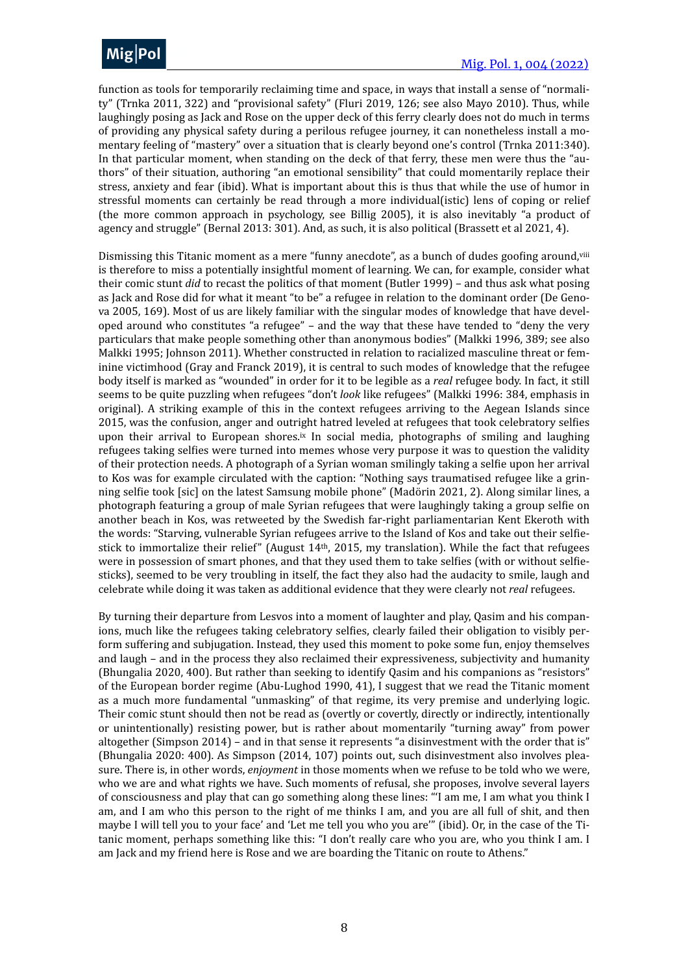function as tools for temporarily reclaiming time and space, in ways that install a sense of "normality" (Trnka 2011, 322) and "provisional safety" (Fluri 2019, 126; see also Mayo 2010). Thus, while laughingly posing as Jack and Rose on the upper deck of this ferry clearly does not do much in terms of providing any physical safety during a perilous refugee journey, it can nonetheless install a momentary feeling of "mastery" over a situation that is clearly beyond one's control (Trnka 2011:340). In that particular moment, when standing on the deck of that ferry, these men were thus the "authors" of their situation, authoring "an emotional sensibility" that could momentarily replace their stress, anxiety and fear (ibid). What is important about this is thus that while the use of humor in stressful moments can certainly be read through a more individual(istic) lens of coping or relief (the more common approach in psychology, see Billig 2005), it is also inevitably "a product of agency and struggle" (Bernal 2013: 301). And, as such, it is also political (Brassett et al 2021, 4).

<span id="page-7-1"></span><span id="page-7-0"></span>Dismissing this Titanic moment as a mere "funny anecdote", as a bunch of dudes goofing around, viii is therefore to miss a potentially insightful moment of learning. We can, for example, consider what their comic stunt *did* to recast the politics of that moment (Butler 1999) - and thus ask what posing as Jack and Rose did for what it meant "to be" a refugee in relation to the dominant order (De Genova 2005, 169). Most of us are likely familiar with the singular modes of knowledge that have developed around who constitutes "a refugee" - and the way that these have tended to "deny the very particulars that make people something other than anonymous bodies" (Malkki 1996, 389; see also Malkki 1995; Johnson 2011). Whether constructed in relation to racialized masculine threat or feminine victimhood (Gray and Franck 2019), it is central to such modes of knowledge that the refugee body itself is marked as "wounded" in order for it to be legible as a *real* refugee body. In fact, it still seems to be quite puzzling when refugees "don't *look* like refugees" (Malkki 1996: 384, emphasis in original). A striking example of this in the context refugees arriving to the Aegean Islands since 2015, was the confusion, anger and outright hatred leveled at refugees that took celebratory selfies upon their arrival to European shores.<sup>[ix](#page-15-6)</sup> In social media, photographs of smiling and laughing refugees taking selfies were turned into memes whose very purpose it was to question the validity of their protection needs. A photograph of a Syrian woman smilingly taking a selfie upon her arrival to Kos was for example circulated with the caption: "Nothing says traumatised refugee like a grinning selfie took [sic] on the latest Samsung mobile phone" (Madörin 2021, 2). Along similar lines, a photograph featuring a group of male Syrian refugees that were laughingly taking a group selfie on another beach in Kos, was retweeted by the Swedish far-right parliamentarian Kent Ekeroth with the words: "Starving, vulnerable Syrian refugees arrive to the Island of Kos and take out their selfiestick to immortalize their relief" (August  $14th$ , 2015, my translation). While the fact that refugees were in possession of smart phones, and that they used them to take selfies (with or without selfiesticks), seemed to be very troubling in itself, the fact they also had the audacity to smile, laugh and celebrate while doing it was taken as additional evidence that they were clearly not *real* refugees.

By turning their departure from Lesvos into a moment of laughter and play, Qasim and his companions, much like the refugees taking celebratory selfies, clearly failed their obligation to visibly perform suffering and subjugation. Instead, they used this moment to poke some fun, enjoy themselves and laugh – and in the process they also reclaimed their expressiveness, subjectivity and humanity (Bhungalia 2020, 400). But rather than seeking to identify Qasim and his companions as "resistors" of the European border regime (Abu-Lughod 1990, 41), I suggest that we read the Titanic moment as a much more fundamental "unmasking" of that regime, its very premise and underlying logic. Their comic stunt should then not be read as (overtly or covertly, directly or indirectly, intentionally or unintentionally) resisting power, but is rather about momentarily "turning away" from power altogether (Simpson 2014) – and in that sense it represents "a disinvestment with the order that is" (Bhungalia 2020: 400). As Simpson (2014, 107) points out, such disinvestment also involves pleasure. There is, in other words, *enjoyment* in those moments when we refuse to be told who we were, who we are and what rights we have. Such moments of refusal, she proposes, involve several layers of consciousness and play that can go something along these lines: "I am me, I am what you think I am, and I am who this person to the right of me thinks I am, and you are all full of shit, and then maybe I will tell you to your face' and 'Let me tell you who you are'" (ibid). Or, in the case of the Titanic moment, perhaps something like this: "I don't really care who you are, who you think I am. I am Jack and my friend here is Rose and we are boarding the Titanic on route to Athens."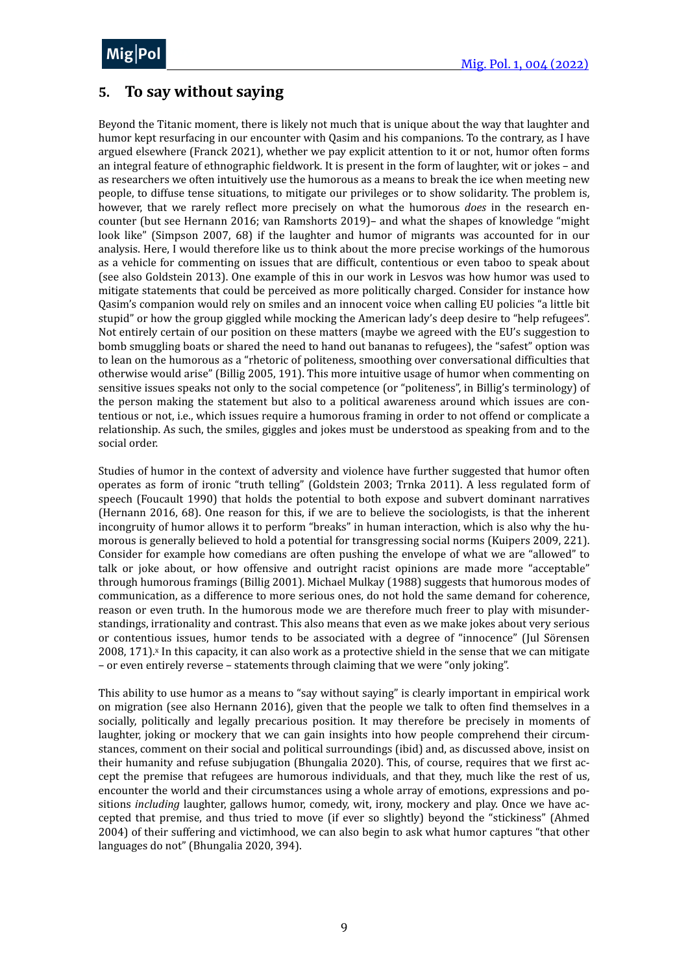MiolDr me<sub>l</sub>' <sup>or</sup>  $Mig|Pol$ 

## <span id="page-8-0"></span>**5.** To say without saying

Beyond the Titanic moment, there is likely not much that is unique about the way that laughter and humor kept resurfacing in our encounter with Qasim and his companions. To the contrary, as I have argued elsewhere (Franck 2021), whether we pay explicit attention to it or not, humor often forms an integral feature of ethnographic fieldwork. It is present in the form of laughter, wit or jokes - and as researchers we often intuitively use the humorous as a means to break the ice when meeting new people, to diffuse tense situations, to mitigate our privileges or to show solidarity. The problem is, however, that we rarely reflect more precisely on what the humorous *does* in the research encounter (but see Hernann 2016; van Ramshorts 2019)- and what the shapes of knowledge "might look like" (Simpson 2007, 68) if the laughter and humor of migrants was accounted for in our analysis. Here, I would therefore like us to think about the more precise workings of the humorous as a vehicle for commenting on issues that are difficult, contentious or even taboo to speak about (see also Goldstein 2013). One example of this in our work in Lesvos was how humor was used to mitigate statements that could be perceived as more politically charged. Consider for instance how Qasim's companion would rely on smiles and an innocent voice when calling EU policies "a little bit stupid" or how the group giggled while mocking the American lady's deep desire to "help refugees". Not entirely certain of our position on these matters (maybe we agreed with the EU's suggestion to bomb smuggling boats or shared the need to hand out bananas to refugees), the "safest" option was to lean on the humorous as a "rhetoric of politeness, smoothing over conversational difficulties that otherwise would arise" (Billig 2005, 191). This more intuitive usage of humor when commenting on sensitive issues speaks not only to the social competence (or "politeness", in Billig's terminology) of the person making the statement but also to a political awareness around which issues are contentious or not, i.e., which issues require a humorous framing in order to not offend or complicate a relationship. As such, the smiles, giggles and jokes must be understood as speaking from and to the social order.

Studies of humor in the context of adversity and violence have further suggested that humor often operates as form of ironic "truth telling" (Goldstein 2003; Trnka 2011). A less regulated form of speech (Foucault 1990) that holds the potential to both expose and subvert dominant narratives (Hernann 2016,  $68$ ). One reason for this, if we are to believe the sociologists, is that the inherent incongruity of humor allows it to perform "breaks" in human interaction, which is also why the humorous is generally believed to hold a potential for transgressing social norms (Kuipers 2009, 221). Consider for example how comedians are often pushing the envelope of what we are "allowed" to talk or joke about, or how offensive and outright racist opinions are made more "acceptable" through humorous framings (Billig 2001). Michael Mulkay (1988) suggests that humorous modes of communication, as a difference to more serious ones, do not hold the same demand for coherence, reason or even truth. In the humorous mode we are therefore much freer to play with misunderstandings, irrationality and contrast. This also means that even as we make jokes about very serious or contentious issues, humor tends to be associated with a degree of "innocence" (Jul Sörensen  $2008$ ,  $171$ ).<sup> $x$ </sup> In this capacity, it can also work as a protective shield in the sense that we can mitigate – or even entirely reverse – statements through claiming that we were "only joking".

<span id="page-8-1"></span>This ability to use humor as a means to "say without saying" is clearly important in empirical work on migration (see also Hernann 2016), given that the people we talk to often find themselves in a socially, politically and legally precarious position. It may therefore be precisely in moments of laughter, joking or mockery that we can gain insights into how people comprehend their circumstances, comment on their social and political surroundings (ibid) and, as discussed above, insist on their humanity and refuse subjugation (Bhungalia 2020). This, of course, requires that we first accept the premise that refugees are humorous individuals, and that they, much like the rest of us, encounter the world and their circumstances using a whole array of emotions, expressions and positions *including* laughter, gallows humor, comedy, wit, irony, mockery and play. Once we have accepted that premise, and thus tried to move (if ever so slightly) beyond the "stickiness" (Ahmed 2004) of their suffering and victimhood, we can also begin to ask what humor captures "that other languages do not" (Bhungalia 2020, 394).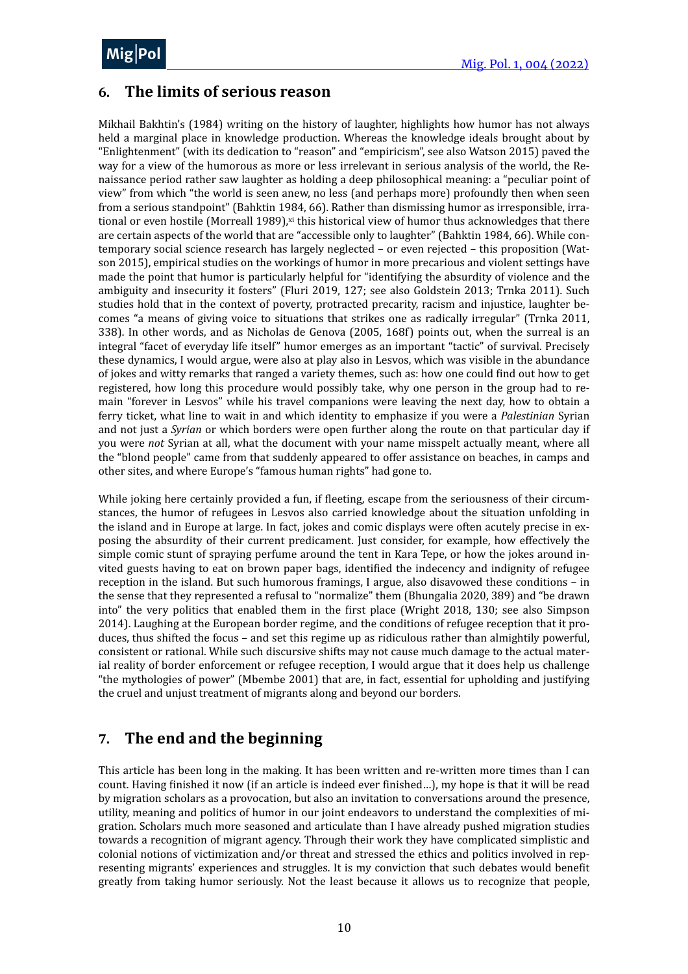# <span id="page-9-0"></span>**6. The limits of serious reason**

<span id="page-9-2"></span>Mikhail Bakhtin's (1984) writing on the history of laughter, highlights how humor has not always held a marginal place in knowledge production. Whereas the knowledge ideals brought about by "Enlightenment" (with its dedication to "reason" and "empiricism", see also Watson 2015) paved the way for a view of the humorous as more or less irrelevant in serious analysis of the world, the Renaissance period rather saw laughter as holding a deep philosophical meaning: a "peculiar point of view" from which "the world is seen anew, no less (and perhaps more) profoundly then when seen from a serious standpoint" (Bahktin 1984, 66). Rather than dismissing humor as irresponsible, irrational or even hostile (Morreall 1989),[xi](#page-15-8) this historical view of humor thus acknowledges that there are certain aspects of the world that are "accessible only to laughter" (Bahktin 1984, 66). While contemporary social science research has largely neglected – or even rejected – this proposition (Watson 2015), empirical studies on the workings of humor in more precarious and violent settings have made the point that humor is particularly helpful for "identifying the absurdity of violence and the ambiguity and insecurity it fosters" (Fluri 2019, 127; see also Goldstein 2013; Trnka 2011). Such studies hold that in the context of poverty, protracted precarity, racism and injustice, laughter becomes "a means of giving voice to situations that strikes one as radically irregular" (Trnka 2011, 338). In other words, and as Nicholas de Genova (2005, 168f) points out, when the surreal is an integral "facet of everyday life itself" humor emerges as an important "tactic" of survival. Precisely these dynamics, I would argue, were also at play also in Lesvos, which was visible in the abundance of jokes and witty remarks that ranged a variety themes, such as: how one could find out how to get registered, how long this procedure would possibly take, why one person in the group had to remain "forever in Lesvos" while his travel companions were leaving the next day, how to obtain a ferry ticket, what line to wait in and which identity to emphasize if you were a *Palestinian* Syrian and not just a *Syrian* or which borders were open further along the route on that particular day if you were not Syrian at all, what the document with your name misspelt actually meant, where all the "blond people" came from that suddenly appeared to offer assistance on beaches, in camps and other sites, and where Europe's "famous human rights" had gone to.

While joking here certainly provided a fun, if fleeting, escape from the seriousness of their circumstances, the humor of refugees in Lesvos also carried knowledge about the situation unfolding in the island and in Europe at large. In fact, jokes and comic displays were often acutely precise in exposing the absurdity of their current predicament. Just consider, for example, how effectively the simple comic stunt of spraying perfume around the tent in Kara Tepe, or how the jokes around invited guests having to eat on brown paper bags, identified the indecency and indignity of refugee reception in the island. But such humorous framings, I argue, also disavowed these conditions - in the sense that they represented a refusal to "normalize" them (Bhungalia 2020, 389) and "be drawn into" the very politics that enabled them in the first place (Wright 2018, 130; see also Simpson 2014). Laughing at the European border regime, and the conditions of refugee reception that it produces, thus shifted the focus - and set this regime up as ridiculous rather than almightily powerful, consistent or rational. While such discursive shifts may not cause much damage to the actual material reality of border enforcement or refugee reception, I would argue that it does help us challenge "the mythologies of power" (Mbembe  $2001$ ) that are, in fact, essential for upholding and justifying the cruel and unjust treatment of migrants along and beyond our borders.

# <span id="page-9-1"></span>**7.** The end and the beginning

This article has been long in the making. It has been written and re-written more times than I can count. Having finished it now (if an article is indeed ever finished...), my hope is that it will be read by migration scholars as a provocation, but also an invitation to conversations around the presence, utility, meaning and politics of humor in our joint endeavors to understand the complexities of migration. Scholars much more seasoned and articulate than I have already pushed migration studies towards a recognition of migrant agency. Through their work they have complicated simplistic and colonial notions of victimization and/or threat and stressed the ethics and politics involved in representing migrants' experiences and struggles. It is my conviction that such debates would benefit greatly from taking humor seriously. Not the least because it allows us to recognize that people,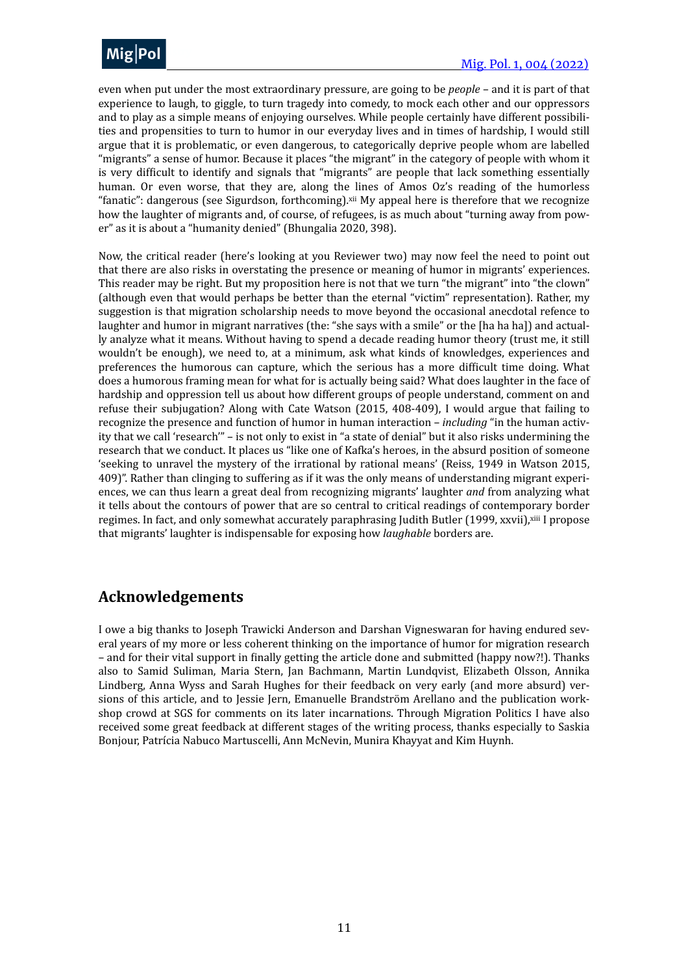

even when put under the most extraordinary pressure, are going to be *people* – and it is part of that experience to laugh, to giggle, to turn tragedy into comedy, to mock each other and our oppressors and to play as a simple means of enjoying ourselves. While people certainly have different possibilities and propensities to turn to humor in our everyday lives and in times of hardship, I would still argue that it is problematic, or even dangerous, to categorically deprive people whom are labelled "migrants" a sense of humor. Because it places "the migrant" in the category of people with whom it is very difficult to identify and signals that "migrants" are people that lack something essentially human. Or even worse, that they are, along the lines of Amos Oz's reading of the humorless "fanatic": dangerous (see Sigurdson, forthcoming).  $xii$  My appeal here is therefore that we recognize how the laughter of migrants and, of course, of refugees, is as much about "turning away from power" as it is about a "humanity denied" (Bhungalia 2020, 398).

<span id="page-10-0"></span>Now, the critical reader (here's looking at you Reviewer two) may now feel the need to point out that there are also risks in overstating the presence or meaning of humor in migrants' experiences. This reader may be right. But my proposition here is not that we turn "the migrant" into "the clown" (although even that would perhaps be better than the eternal "victim" representation). Rather, my suggestion is that migration scholarship needs to move beyond the occasional anecdotal refence to laughter and humor in migrant narratives (the: "she says with a smile" or the [ha ha ha]) and actually analyze what it means. Without having to spend a decade reading humor theory (trust me, it still wouldn't be enough), we need to, at a minimum, ask what kinds of knowledges, experiences and preferences the humorous can capture, which the serious has a more difficult time doing. What does a humorous framing mean for what for is actually being said? What does laughter in the face of hardship and oppression tell us about how different groups of people understand, comment on and refuse their subjugation? Along with Cate Watson  $(2015, 408-409)$ , I would argue that failing to recognize the presence and function of humor in human interaction – *including* "in the human activity that we call 'research'" - is not only to exist in "a state of denial" but it also risks undermining the research that we conduct. It places us "like one of Kafka's heroes, in the absurd position of someone 'seeking to unravel the mystery of the irrational by rational means' (Reiss, 1949 in Watson 2015, 409)". Rather than clinging to suffering as if it was the only means of understanding migrant experiences, we can thus learn a great deal from recognizing migrants' laughter and from analyzing what it tells about the contours of power that are so central to critical readings of contemporary border regimes. In fact, and only somewhat accurately paraphrasing Judith Butler (1999, xxvii), [xiii](#page-15-10) I propose that migrants' laughter is indispensable for exposing how *laughable* borders are.

# <span id="page-10-1"></span>**Acknowledgements**

I owe a big thanks to Joseph Trawicki Anderson and Darshan Vigneswaran for having endured several years of my more or less coherent thinking on the importance of humor for migration research – and for their vital support in finally getting the article done and submitted (happy now?!). Thanks also to Samid Suliman, Maria Stern, Jan Bachmann, Martin Lundqvist, Elizabeth Olsson, Annika Lindberg, Anna Wyss and Sarah Hughes for their feedback on very early (and more absurd) versions of this article, and to Jessie Jern, Emanuelle Brandström Arellano and the publication workshop crowd at SGS for comments on its later incarnations. Through Migration Politics I have also received some great feedback at different stages of the writing process, thanks especially to Saskia Bonjour, Patrícia Nabuco Martuscelli, Ann McNevin, Munira Khayyat and Kim Huynh.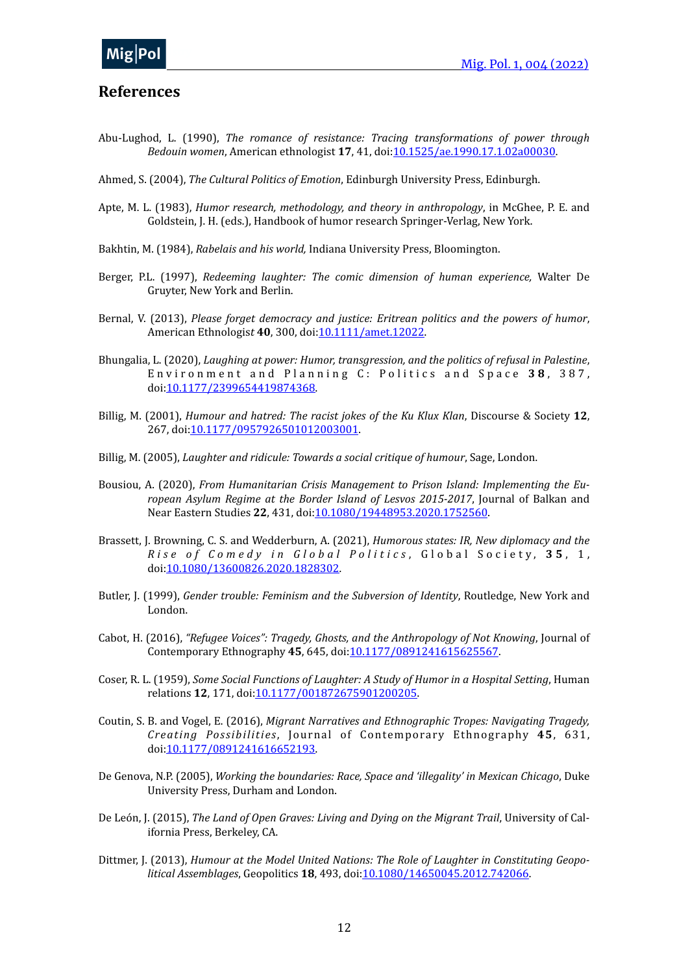#### <span id="page-11-0"></span>**References**

- Abu-Lughod, L. (1990), *The romance of resistance: Tracing transformations of power through Bedouin women*, American ethnologist **17**, 41, doi:[10.1525/ae.1990.17.1.02a00030](https://doi.org/10.1525/ae.1990.17.1.02a00030).
- Ahmed, S. (2004), *The Cultural Politics of Emotion*, Edinburgh University Press, Edinburgh.
- Apte, M. L. (1983), *Humor research, methodology, and theory in anthropology*, in McGhee, P. E. and Goldstein, J. H. (eds.), Handbook of humor research Springer-Verlag, New York.
- Bakhtin, M. (1984), *Rabelais and his world*, Indiana University Press, Bloomington.
- Berger, P.L. (1997), *Redeeming laughter: The comic dimension of human experience*, Walter De Gruyter, New York and Berlin.
- Bernal, V. (2013), *Please forget democracy and justice: Eritrean politics and the powers of humor*, American Ethnologis*t* **40**, 300, doi[:10.1111/amet.12022.](https://doi.org/10.1111/amet.12022)
- Bhungalia, L. (2020), *Laughing at power: Humor, transgression, and the politics of refusal in Palestine*, Environment and Planning C: Politics and Space 38, 387, doi:[10.1177/2399654419874368.](https://doi.org/10.1177/2399654419874368)
- Billig, M. (2001), *Humour and hatred: The racist jokes of the Ku Klux Klan*, Discourse & Society 12, 267, doi:[10.1177/0957926501012003001](https://doi.org/10.1177/0957926501012003001).
- Billig, M. (2005), *Laughter and ridicule: Towards a social critique of humour*, Sage, London.
- Bousiou, A. (2020), *From Humanitarian Crisis Management to Prison Island: Implementing the European Asylum Regime at the Border Island of Lesvos 2015-2017*, Journal of Balkan and Near Eastern Studies 22, 431, doi[:10.1080/19448953.2020.1752560.](https://doi.org/10.1080/19448953.2020.1752560)
- Brassett, J. Browning, C. S. and Wedderburn, A. (2021), *Humorous states: IR, New diplomacy and the Rise of Comedy in Global Politics, Global Society, 35, 1,* doi:[10.1080/13600826.2020.1828302](https://doi.org/10.1080/13600826.2020.1828302).
- Butler, J. (1999), *Gender trouble: Feminism and the Subversion of Identity*, Routledge, New York and London.
- Cabot, H. (2016), "Refugee Voices": Tragedy, Ghosts, and the Anthropology of Not Knowing, Journal of Contemporary Ethnography 45, 645, doi: 10.1177/0891241615625567.
- Coser, R. L. (1959), *Some Social Functions of Laughter: A Study of Humor in a Hospital Setting*, Human relations **12**, 171, doi:[10.1177/001872675901200205.](https://doi.org/10.1177/001872675901200205)
- Coutin, S. B. and Vogel, E. (2016), *Migrant Narratives and Ethnographic Tropes: Navigating Tragedy, Creating Possibilities*, Journal of Contemporary Ethnography 45, 631, doi:[10.1177/0891241616652193.](https://doi.org/10.1177/0891241616652193)
- De Genova, N.P. (2005), *Working the boundaries: Race, Space and 'illegality' in Mexican Chicago*, Duke University Press, Durham and London.
- De León, J. (2015), *The Land of Open Graves: Living and Dying on the Migrant Trail*, University of California Press, Berkeley, CA.
- Dittmer, J. (2013), *Humour at the Model United Nations: The Role of Laughter in Constituting Geopolitical Assemblages*, Geopolitics **18**, 493, doi: 10.1080/14650045.2012.742066.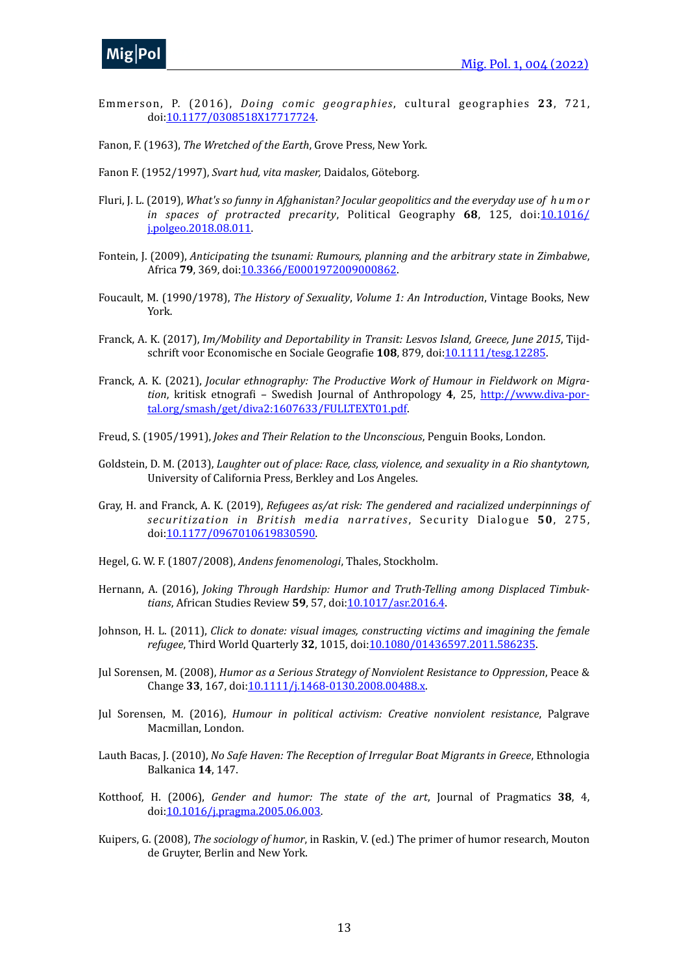

- Emmerson, P. (2016), *Doing comic geographies*, cul tural geographies **23**, 721, doi:[10.1177/0308518X17717724.](https://doi.org/10.1177/0308518X17717724)
- Fanon, F. (1963), *The Wretched of the Earth*, Grove Press, New York.
- Fanon F. (1952/1997), *Svart hud, vita masker*, Daidalos, Göteborg.
- Fluri, J. L. (2019), *What's so funny in Afghanistan? Jocular geopolitics and the everyday use of hum or in* spaces of protracted precarity, Political Geography 68, 125, doi[:10.1016/](https://doi.org/10.1016/j.polgeo.2018.08.011) [j.polgeo.2018.08.011](https://doi.org/10.1016/j.polgeo.2018.08.011).
- Fontein, J. (2009), *Anticipating the tsunami: Rumours, planning and the arbitrary state in Zimbabwe*, Africa **79**, 369, doi: 10.3366/E0001972009000862.
- Foucault, M. (1990/1978), *The History of Sexuality, Volume 1: An Introduction*, Vintage Books, New York.
- Franck, A. K. (2017), *Im/Mobility and Deportability in Transit: Lesvos Island, Greece, June 2015*, Tijdschrift voor Economische en Sociale Geografie **108**, 879, doi:[10.1111/tesg.12285](https://doi.org/10.1111/tesg.12285).
- Franck, A. K. (2021), *Jocular ethnography: The Productive Work of Humour in Fieldwork on Migration*, kritisk etnografi – Swedish Journal of Anthropology 4, 25, [http://www.diva-por](http://www.diva-portal.org/smash/get/diva2:1607633/FULLTEXT01.pdf)[tal.org/smash/get/diva2:1607633/FULLTEXT01.pdf.](http://www.diva-portal.org/smash/get/diva2:1607633/FULLTEXT01.pdf)
- Freud, S. (1905/1991), *Jokes and Their Relation to the Unconscious*, Penguin Books, London.
- Goldstein, D. M. (2013), *Laughter out of place: Race, class, violence, and sexuality in a Rio shantytown,* University of California Press, Berkley and Los Angeles.
- Gray, H. and Franck, A. K. (2019), *Refugees as/at risk: The gendered and racialized underpinnings of securitization in British media narratives*, Security Dialogue 50, 275, doi:[10.1177/0967010619830590.](https://doi.org/10.1177/0967010619830590)
- Hegel, G. W. F. (1807/2008), *Andens fenomenologi*, Thales, Stockholm.
- Hernann, A. (2016), *Joking Through Hardship: Humor and Truth-Telling among Displaced Timbuktians*, African Studies Review 59, 57, doi: 10.1017/asr.2016.4.
- Johnson, H. L. (2011), *Click to donate: visual images, constructing victims and imagining the female refugee*, Third World Quarterly 32, 1015, doi[:10.1080/01436597.2011.586235](https://doi.org/10.1080/01436597.2011.586235).
- Jul Sorensen, M. (2008), *Humor as a Serious Strategy of Nonviolent Resistance to Oppression*, Peace & Change 33, 167, doi: 10.1111/j.1468-0130.2008.00488.x.
- Jul Sorensen, M. (2016), *Humour in political activism: Creative nonviolent resistance*, Palgrave Macmillan, London.
- Lauth Bacas, J. (2010), *No Safe Haven: The Reception of Irregular Boat Migrants in Greece*, Ethnologia Balkanica **14**, 147.
- Kotthoof, H. (2006), *Gender and humor: The state of the art*, Journal of Pragmatics 38, 4, doi:[10.1016/j.pragma.2005.06.003](https://doi.org/10.1016/j.pragma.2005.06.003).
- Kuipers, G. (2008), *The sociology of humor*, in Raskin, V. (ed.) The primer of humor research, Mouton de Gruyter, Berlin and New York.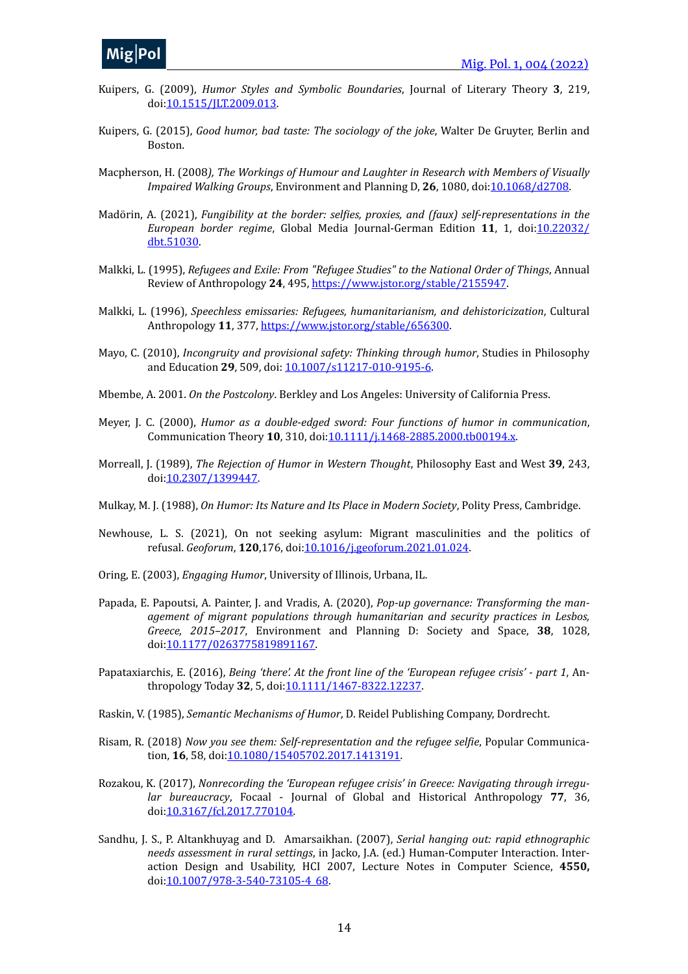

- Kuipers, G. (2009), *Humor Styles and Symbolic Boundaries*, Journal of Literary Theory 3, 219, doi:[10.1515/JLT.2009.013](https://doi.org/10.1515/JLT.2009.013).
- Kuipers, G. (2015), Good humor, bad taste: The sociology of the joke, Walter De Gruyter, Berlin and Boston.
- Macpherson, H. (2008), The Workings of Humour and Laughter in Research with Members of Visually *Impaired Walking Groups*, Environment and Planning D, 26, 1080, doi[:10.1068/d2708](https://doi.org/10.1068/d2708).
- Madörin, A. (2021), *Fungibility at the border: selfies, proxies, and (faux) self-representations in the European border regime*, Global Media Journal-German Edition 11, 1, doi[:10.22032/](https://doi.org/10.22032/dbt.51030) [dbt.51030.](https://doi.org/10.22032/dbt.51030)
- Malkki, L. (1995), *Refugees and Exile: From "Refugee Studies" to the National Order of Things*, Annual Review of Anthropology 24, 495, <https://www.jstor.org/stable/2155947>.
- Malkki, L. (1996), *Speechless emissaries: Refugees, humanitarianism, and dehistoricization*, Cultural Anthropology 11, 377, [https://www.jstor.org/stable/656300.](https://www.jstor.org/stable/656300)
- Mayo, C. (2010), *Incongruity and provisional safety: Thinking through humor*, Studies in Philosophy and Education 29, 509, doi:  $10.1007 / s11217 - 010 - 9195 - 6$ .
- Mbembe, A. 2001. *On the Postcolony*. Berkley and Los Angeles: University of California Press.
- Meyer, J. C. (2000), *Humor* as a double-edged sword: Four functions of humor in communication, Communication Theory 10, 310, doi: [10.1111/j.1468-2885.2000.tb00194.x.](https://doi.org/10.1111/j.1468-2885.2000.tb00194.x)
- Morreall, J. (1989), *The Rejection of Humor in Western Thought*, Philosophy East and West 39, 243, doi:[10.2307/1399447.](https://doi.org/10.2307/1399447)
- Mulkay, M. J. (1988), *On Humor: Its Nature and Its Place in Modern Society*, Polity Press, Cambridge.
- Newhouse, L. S. (2021), On not seeking asylum: Migrant masculinities and the politics of refusal. *Geoforum*, **120**,176, doi[:10.1016/j.geoforum.2021.01.024](https://doi.org/10.1016/j.geoforum.2021.01.024).
- Oring, E. (2003), *Engaging Humor*, University of Illinois, Urbana, IL.
- Papada, E. Papoutsi, A. Painter, J. and Vradis, A. (2020), *Pop-up governance: Transforming the management of migrant populations through humanitarian and security practices in Lesbos, Greece, 2015–2017*, Environment and Planning D: Society and Space, **38**, 1028, doi:[10.1177/0263775819891167.](https://doi.org/10.1177/0263775819891167)
- Papataxiarchis, E. (2016), *Being 'there'. At the front line of the 'European refugee crisis' part 1*, Anthropology Today **32**, 5, doi:[10.1111/1467-8322.12237](https://doi.org/10.1111/1467-8322.12237).
- Raskin, V. (1985), *Semantic Mechanisms of Humor*, D. Reidel Publishing Company, Dordrecht.
- Risam, R. (2018) *Now you see them: Self-representation and the refugee selfie*, Popular Communication, **16**, 58, doi:[10.1080/15405702.2017.1413191](https://doi.org/10.1080/15405702.2017.1413191).
- Rozakou, K. (2017), *Nonrecording the 'European refugee crisis' in Greece: Navigating through irregular bureaucracy*, Focaal - Journal of Global and Historical Anthropology 77, 36, doi:[10.3167/fcl.2017.770104.](https://doi.org/10.3167/fcl.2017.770104)
- Sandhu, J. S., P. Altankhuyag and D. Amarsaikhan. (2007), *Serial hanging out: rapid ethnographic needs assessment in rural settings*, in Jacko, J.A. (ed.) Human-Computer Interaction. Interaction Design and Usability, HCI 2007, Lecture Notes in Computer Science, 4550, doi:[10.1007/978-3-540-73105-4\\_68](https://doi.org/10.1007/978-3-540-73105-4_68).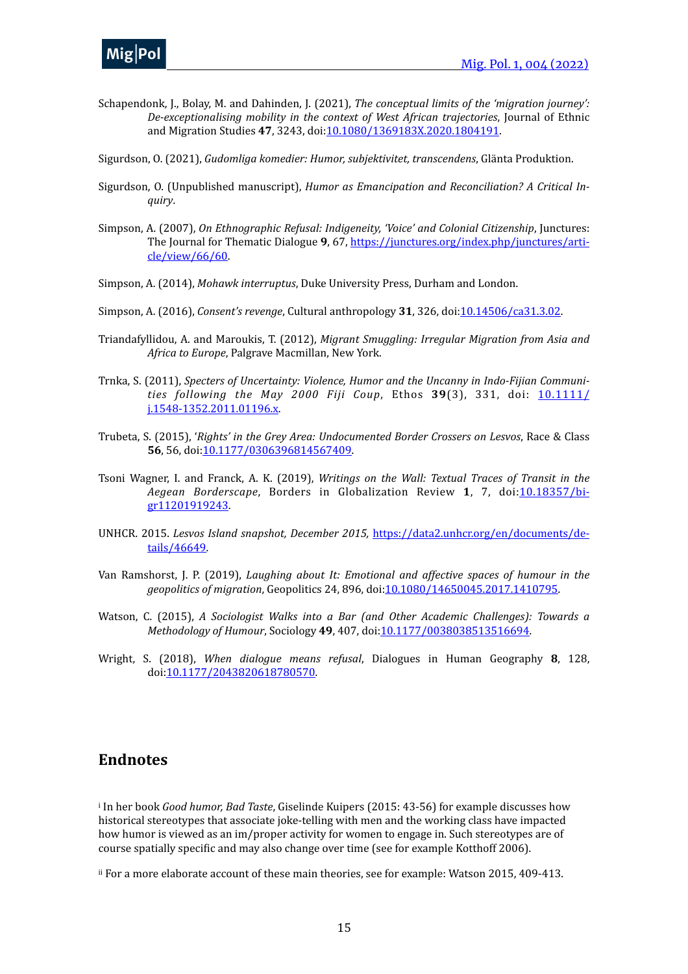

Schapendonk, J., Bolay, M. and Dahinden, J. (2021), *The conceptual limits of the 'migration journey':* De-exceptionalising mobility in the context of West African trajectories, Journal of Ethnic and Migration Studies 47, 3243, doi[:10.1080/1369183X.2020.1804191.](https://doi.org/10.1080/1369183X.2020.1804191)

Sigurdson, O. (2021), *Gudomliga komedier: Humor, subjektivitet, transcendens*, Glänta Produktion.

- Sigurdson, O. (Unpublished manuscript), *Humor as Emancipation and Reconciliation? A Critical Inquiry*.
- Simpson, A. (2007), *On Ethnographic Refusal: Indigeneity, 'Voice' and Colonial Citizenship*, Junctures: The Journal for Thematic Dialogue 9, 67, [https://junctures.org/index.php/junctures/arti](https://junctures.org/index.php/junctures/article/view/66/60)[cle/view/66/60.](https://junctures.org/index.php/junctures/article/view/66/60)
- Simpson, A. (2014), *Mohawk interruptus*, Duke University Press, Durham and London.
- Simpson, A. (2016), *Consent's revenge*, Cultural anthropology 31, 326, doi[:10.14506/ca31.3.02.](https://doi.org/10.14506/ca31.3.02)
- Triandafyllidou, A. and Maroukis, T. (2012), *Migrant Smuggling: Irregular Migration from Asia and* Africa to Europe, Palgrave Macmillan, New York.
- Trnka, S. (2011), *Specters of Uncertainty: Violence, Humor and the Uncanny in Indo-Fijian Communities following the May 2000 Fiji Coup*, Ethos 39(3), 331, doi: [10.1111/](https://doi.org/10.1111/j.1548-1352.2011.01196.x) [j.1548-1352.2011.01196.x.](https://doi.org/10.1111/j.1548-1352.2011.01196.x)
- Trubeta, S. (2015), '*Rights' in the Grey Area: Undocumented Border Crossers on Lesvos*, Race & Class 56, 56, doi[:10.1177/0306396814567409](https://doi.org/10.1177/0306396814567409).
- Tsoni Wagner, I. and Franck, A. K. (2019), *Writings on the Wall: Textual Traces of Transit in the* Aegean Borderscape, Borders in Globalization Review 1, 7, doi:[10.18357/bi](https://doi.org/10.18357/bigr11201919243)[gr11201919243.](https://doi.org/10.18357/bigr11201919243)
- UNHCR. 2015. Lesvos Island snapshot, December 2015, [https://data2.unhcr.org/en/documents/de](https://data2.unhcr.org/en/documents/details/46649)[tails/46649](https://data2.unhcr.org/en/documents/details/46649).
- Van Ramshorst, J. P. (2019), *Laughing about It: Emotional and affective spaces of humour in the geopolitics of migration*, Geopolitics 24, 896, doi[:10.1080/14650045.2017.1410795](https://doi.org/10.1080/14650045.2017.1410795).
- Watson, C. (2015), *A Sociologist Walks into a Bar (and Other Academic Challenges): Towards a Methodology of Humour, Sociology* 49, 407, doi[:10.1177/0038038513516694.](https://doi.org/10.1177/0038038513516694)
- Wright, S. (2018), *When dialogue means refusal*, Dialogues in Human Geography 8, 128, doi:[10.1177/2043820618780570.](https://doi.org/10.1177/2043820618780570)

#### **Endnotes**

<span id="page-14-0"></span><sup>[i](#page-3-1)</sup> In her book *Good humor, Bad Taste*, Giselinde Kuipers (2015: 43-56) for example discusses how historical stereotypes that associate joke-telling with men and the working class have impacted how humor is viewed as an im/proper activity for women to engage in. Such stereotypes are of course spatially specific and may also change over time (see for example Kotthoff 2006).

<span id="page-14-1"></span><sup>[ii](#page-3-2)</sup> For a more elaborate account of these main theories, see for example: Watson 2015, 409-413.